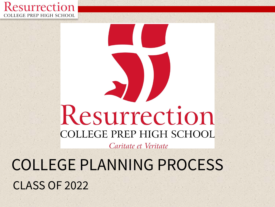

# Resurrection **COLLEGE PREP HIGH SCHOOL**

Caritate et Veritate

COLLEGE PLANNING PROCESS CLASS OF 2022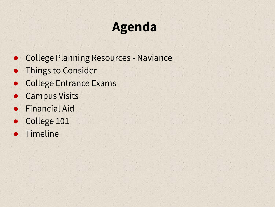### **Agenda**

- College Planning Resources Naviance
- **•** Things to Consider
- **College Entrance Exams**
- **Campus Visits**
- **Financial Aid**
- College 101
- **Timeline**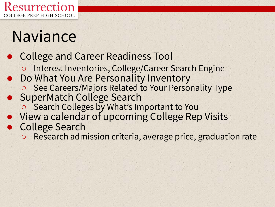

### Naviance

### ● College and Career Readiness Tool

- Interest Inventories, College/Career Search Engine
- Do What You Are Personality Inventory
	- See Careers/Majors Related to Your Personality Type
- SuperMatch College Search
	- Search Colleges by What's Important to You
- View a calendar of upcoming College Rep Visits
- College Search
	- Research admission criteria, average price, graduation rate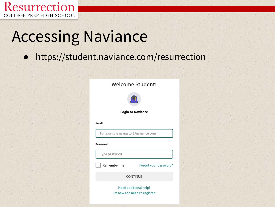

## Accessing Naviance

https://student.naviance.com/resurrection

#### Welcome Student!



**Login to Naviance** 

#### Email

For example navigator@naviance.com

#### Password

Type password

Remember me

Forgot your password?

**CONTINUE** 

Need additional help? I'm new and need to register!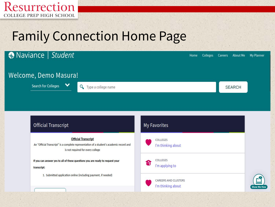

### Family Connection Home Page

#### ● Naviance | Student Home **Colleges** Careers About Me My Planner Welcome, Demo Masura! Search for Colleges  $\checkmark$ **Q** Type a college name **SEARCH Official Transcript My Favorites Official Transcript** COLLEGES An "Official Transcript" is a complete representation of a student's academic record and I'm thinking about is not required for every college COLLEGES If you can answer yes to all of these questions you are ready to request your S, I'm applying to transcript: 1. Submitted application online (including payment, if needed) **CAREERS AND CLUSTERS** I'm thinking about Show Me H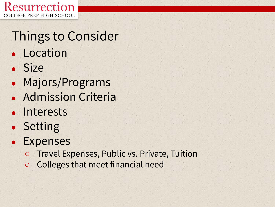

### Things to Consider

- Location
- Size
- Majors/Programs
- Admission Criteria
- Interests
- Setting
- Expenses
	- Travel Expenses, Public vs. Private, Tuition
	- Colleges that meet financial need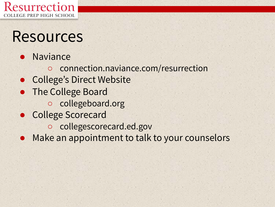

### Resources

- **Naviance** 
	- connection[.naviance.com/resurrection](http://www.connection.naviance.com/resurrection)
- **College's Direct Website**
- The College Board
	- collegeboard.org
- College Scorecard
	- collegescorecard.ed.gov
- Make an appointment to talk to your counselors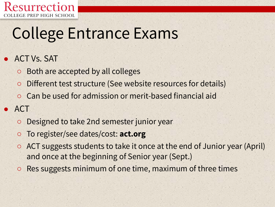

## College Entrance Exams

#### **ACT Vs. SAT**

- Both are accepted by all colleges
- Different test structure (See website resources for details)
- Can be used for admission or merit-based financial aid

### **ACT**

- Designed to take 2nd semester junior year
- To register/see dates/cost: **act.org**
- ACT suggests students to take it once at the end of Junior year (April) and once at the beginning of Senior year (Sept.)
- Res suggests minimum of one time, maximum of three times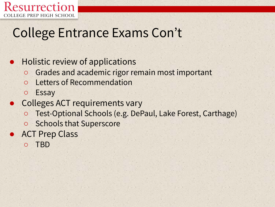

### College Entrance Exams Con't

#### ● Holistic review of applications

- Grades and academic rigor remain most important
- **Letters of Recommendation**
- Essay
- Colleges ACT requirements vary
	- Test-Optional Schools (e.g. DePaul, Lake Forest, Carthage)
	- Schools that Superscore
- ACT Prep Class
	- TBD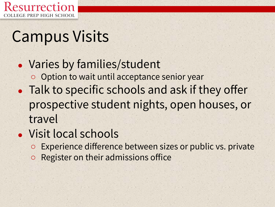

### Campus Visits

- Varies by families/student ○ Option to wait until acceptance senior year • Talk to specific schools and ask if they offer prospective student nights, open houses, or travel
- Visit local schools
	- Experience difference between sizes or public vs. private
	- Register on their admissions office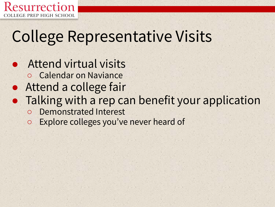

### College Representative Visits

**Attend virtual visits** ○ Calendar on Naviance Attend a college fair • Talking with a rep can benefit your application ○ Demonstrated Interest ○ Explore colleges you've never heard of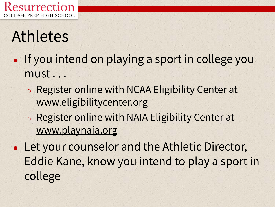

## Athletes

- If you intend on playing a sport in college you must . . .
	- Register online with NCAA Eligibility Center at www.eligibilitycenter.org
	- Register online with NAIA Eligibility Center at [www.playnaia.org](http://www.playnaia.org/)
- Let your counselor and the Athletic Director, Eddie Kane, know you intend to play a sport in college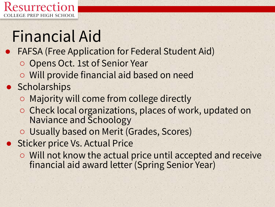

# Financial Aid

- FAFSA (Free Application for Federal Student Aid)
	- Opens Oct. 1st of Senior Year
	- Will provide financial aid based on need

### ● Scholarships

- Majority will come from college directly
- Check local organizations, places of work, updated on Naviance and Schoology
- Usually based on Merit (Grades, Scores)
- Sticker price Vs. Actual Price
	- Will not know the actual price until accepted and receive financial aid award letter (Spring Senior Year)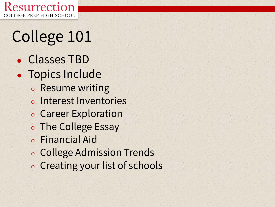

# College 101

- Classes TBD
- Topics Include
	- Resume writing
	- Interest Inventories
	- Career Exploration
	- The College Essay
	- Financial Aid
	- College Admission Trends
	- Creating your list of schools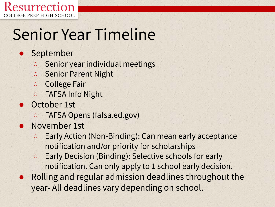

## Senior Year Timeline

- September
	- Senior year individual meetings
	- Senior Parent Night
	- College Fair
	- FAFSA Info Night
- October 1st
	- FAFSA Opens (fafsa.ed.gov)
- November 1st
	- Early Action (Non-Binding): Can mean early acceptance notification and/or priority for scholarships
	- Early Decision (Binding): Selective schools for early notification. Can only apply to 1 school early decision.
- Rolling and regular admission deadlines throughout the year- All deadlines vary depending on school.